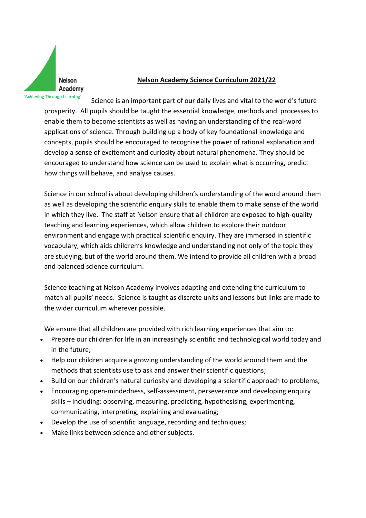

## **Nelson Academy Science Curriculum 2021/22**

Science is an important part of our daily lives and vital to the world's future prosperity. All pupils should be taught the essential knowledge, methods and processes to enable them to become scientists as well as having an understanding of the real-word applications of science. Through building up a body of key foundational knowledge and concepts, pupils should be encouraged to recognise the power of rational explanation and develop a sense of excitement and curiosity about natural phenomena. They should be encouraged to understand how science can be used to explain what is occurring, predict how things will behave, and analyse causes.

Science in our school is about developing children's understanding of the word around them as well as developing the scientific enquiry skills to enable them to make sense of the world in which they live. The staff at Nelson ensure that all children are exposed to high-quality teaching and learning experiences, which allow children to explore their outdoor environment and engage with practical scientific enquiry. They are immersed in scientific vocabulary, which aids children's knowledge and understanding not only of the topic they are studying, but of the world around them. We intend to provide all children with a broad and balanced science curriculum.

Science teaching at Nelson Academy involves adapting and extending the curriculum to match all pupils' needs. Science is taught as discrete units and lessons but links are made to the wider curriculum wherever possible.

We ensure that all children are provided with rich learning experiences that aim to:

- Prepare our children for life in an increasingly scientific and technological world today and in the future;
- Help our children acquire a growing understanding of the world around them and the methods that scientists use to ask and answer their scientific questions;
- Build on our children's natural curiosity and developing a scientific approach to problems;
- Encouraging open-mindedness, self-assessment, perseverance and developing enquiry skills – including: observing, measuring, predicting, hypothesising, experimenting, communicating, interpreting, explaining and evaluating;
- Develop the use of scientific language, recording and techniques;
- Make links between science and other subjects.